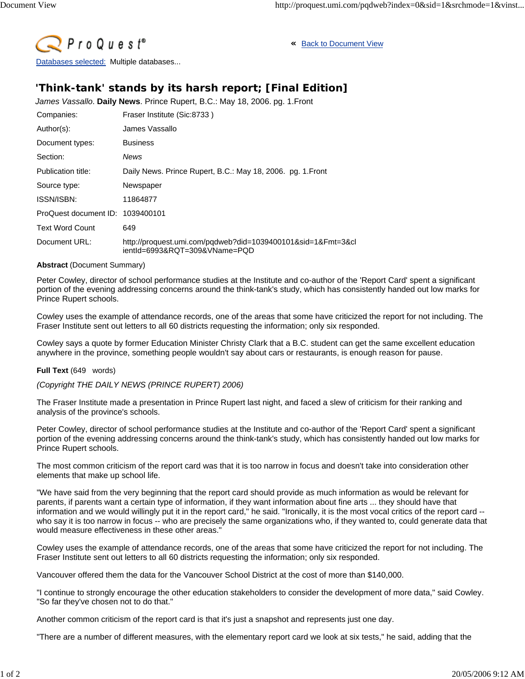

**«** Back to Document View

## **'Think-tank' stands by its harsh report; [Final Edition]**

*James Vassallo*. **Daily News**. Prince Rupert, B.C.: May 18, 2006. pg. 1.Front

| Companies:                       | Fraser Institute (Sic:8733)                                                                   |
|----------------------------------|-----------------------------------------------------------------------------------------------|
| Author(s):                       | James Vassallo                                                                                |
| Document types:                  | <b>Business</b>                                                                               |
| Section:                         | News                                                                                          |
| Publication title:               | Daily News. Prince Rupert, B.C.: May 18, 2006. pg. 1. Front                                   |
| Source type:                     | Newspaper                                                                                     |
| ISSN/ISBN:                       | 11864877                                                                                      |
| ProQuest document ID: 1039400101 |                                                                                               |
| <b>Text Word Count</b>           | 649                                                                                           |
| Document URL:                    | http://proquest.umi.com/pqdweb?did=1039400101&sid=1&Fmt=3&cl<br>ientId=6993&RQT=309&VName=PQD |

## **Abstract** (Document Summary)

Peter Cowley, director of school performance studies at the Institute and co-author of the 'Report Card' spent a significant portion of the evening addressing concerns around the think-tank's study, which has consistently handed out low marks for Prince Rupert schools.

Cowley uses the example of attendance records, one of the areas that some have criticized the report for not including. The Fraser Institute sent out letters to all 60 districts requesting the information; only six responded.

Cowley says a quote by former Education Minister Christy Clark that a B.C. student can get the same excellent education anywhere in the province, something people wouldn't say about cars or restaurants, is enough reason for pause.

## **Full Text** (649 words)

*(Copyright THE DAILY NEWS (PRINCE RUPERT) 2006)*

The Fraser Institute made a presentation in Prince Rupert last night, and faced a slew of criticism for their ranking and analysis of the province's schools.

Peter Cowley, director of school performance studies at the Institute and co-author of the 'Report Card' spent a significant portion of the evening addressing concerns around the think-tank's study, which has consistently handed out low marks for Prince Rupert schools.

The most common criticism of the report card was that it is too narrow in focus and doesn't take into consideration other elements that make up school life.

"We have said from the very beginning that the report card should provide as much information as would be relevant for parents, if parents want a certain type of information, if they want information about fine arts ... they should have that information and we would willingly put it in the report card," he said. "Ironically, it is the most vocal critics of the report card - who say it is too narrow in focus -- who are precisely the same organizations who, if they wanted to, could generate data that would measure effectiveness in these other areas."

Cowley uses the example of attendance records, one of the areas that some have criticized the report for not including. The Fraser Institute sent out letters to all 60 districts requesting the information; only six responded.

Vancouver offered them the data for the Vancouver School District at the cost of more than \$140,000.

"I continue to strongly encourage the other education stakeholders to consider the development of more data," said Cowley. "So far they've chosen not to do that."

Another common criticism of the report card is that it's just a snapshot and represents just one day.

"There are a number of different measures, with the elementary report card we look at six tests," he said, adding that the